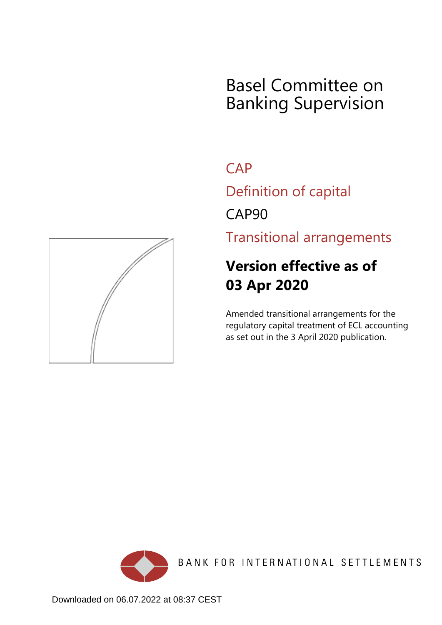# Basel Committee on Banking Supervision

**CAP** 

Definition of capital

CAP90

Transitional arrangements

# **Version effective as of 03 Apr 2020**

Amended transitional arrangements for the regulatory capital treatment of ECL accounting as set out in the 3 April 2020 publication.



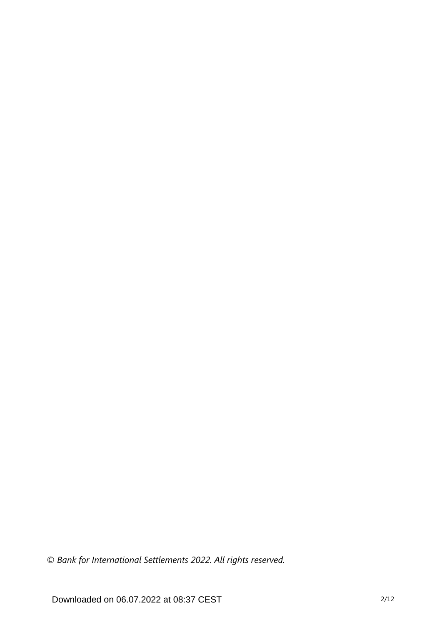*© Bank for International Settlements 2022. All rights reserved.*

Downloaded on 06.07.2022 at 08:37 CEST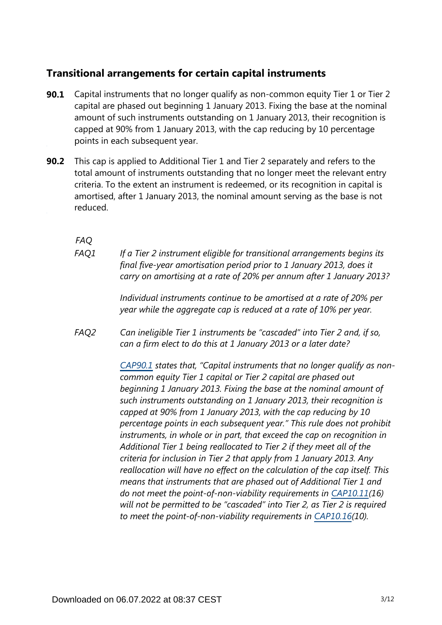## **Transitional arrangements for certain capital instruments**

- Capital instruments that no longer qualify as non-common equity Tier 1 or Tier 2 capital are phased out beginning 1 January 2013. Fixing the base at the nominal amount of such instruments outstanding on 1 January 2013, their recognition is capped at 90% from 1 January 2013, with the cap reducing by 10 percentage points in each subsequent year. **90.1**
- This cap is applied to Additional Tier 1 and Tier 2 separately and refers to the total amount of instruments outstanding that no longer meet the relevant entry criteria. To the extent an instrument is redeemed, or its recognition in capital is amortised, after 1 January 2013, the nominal amount serving as the base is not reduced. **90.2**

*FAQ*

*If a Tier 2 instrument eligible for transitional arrangements begins its final five-year amortisation period prior to 1 January 2013, does it carry on amortising at a rate of 20% per annum after 1 January 2013? FAQ1*

> *Individual instruments continue to be amortised at a rate of 20% per year while the aggregate cap is reduced at a rate of 10% per year.*

*Can ineligible Tier 1 instruments be "cascaded" into Tier 2 and, if so, can a firm elect to do this at 1 January 2013 or a later date? FAQ2*

> *[CAP90.1](https://www.bis.org/basel_framework/chapter/CAP/90.htm?tldate=20220101&inforce=20200403&published=20200403#paragraph_CAP_90_20200403_90_1) states that, "Capital instruments that no longer qualify as noncommon equity Tier 1 capital or Tier 2 capital are phased out beginning 1 January 2013. Fixing the base at the nominal amount of such instruments outstanding on 1 January 2013, their recognition is capped at 90% from 1 January 2013, with the cap reducing by 10 percentage points in each subsequent year." This rule does not prohibit instruments, in whole or in part, that exceed the cap on recognition in Additional Tier 1 being reallocated to Tier 2 if they meet all of the criteria for inclusion in Tier 2 that apply from 1 January 2013. Any reallocation will have no effect on the calculation of the cap itself. This means that instruments that are phased out of Additional Tier 1 and do not meet the point-of-non-viability requirements in [CAP10.11\(](https://www.bis.org/basel_framework/chapter/CAP/10.htm?tldate=20220101&inforce=20191215&published=20200605#paragraph_CAP_10_20191215_10_11)16) will not be permitted to be "cascaded" into Tier 2, as Tier 2 is required to meet the point-of-non-viability requirements in [CAP10.16\(](https://www.bis.org/basel_framework/chapter/CAP/10.htm?tldate=20220101&inforce=20191215&published=20200605#paragraph_CAP_10_20191215_10_16)10).*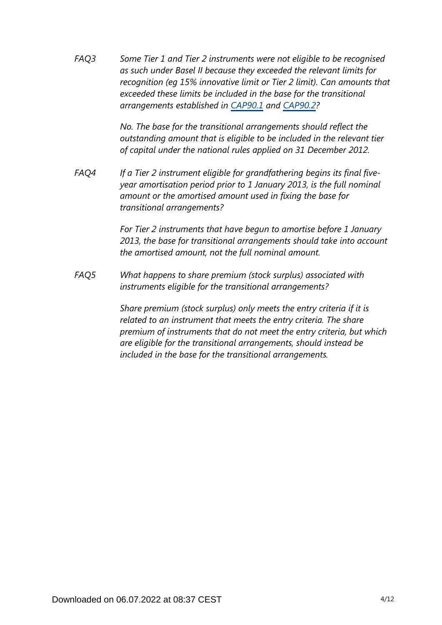*Some Tier 1 and Tier 2 instruments were not eligible to be recognised as such under Basel II because they exceeded the relevant limits for recognition (eg 15% innovative limit or Tier 2 limit). Can amounts that exceeded these limits be included in the base for the transitional arrangements established in [CAP90.1](https://www.bis.org/basel_framework/chapter/CAP/90.htm?tldate=20220101&inforce=20200403&published=20200403#paragraph_CAP_90_20200403_90_1) and [CAP90.2](https://www.bis.org/basel_framework/chapter/CAP/90.htm?tldate=20220101&inforce=20200403&published=20200403#paragraph_CAP_90_20200403_90_2)? FAQ3*

> *No. The base for the transitional arrangements should reflect the outstanding amount that is eligible to be included in the relevant tier of capital under the national rules applied on 31 December 2012.*

*If a Tier 2 instrument eligible for grandfathering begins its final fiveyear amortisation period prior to 1 January 2013, is the full nominal amount or the amortised amount used in fixing the base for transitional arrangements? FAQ4*

> *For Tier 2 instruments that have begun to amortise before 1 January 2013, the base for transitional arrangements should take into account the amortised amount, not the full nominal amount.*

*What happens to share premium (stock surplus) associated with instruments eligible for the transitional arrangements? FAQ5*

> *Share premium (stock surplus) only meets the entry criteria if it is related to an instrument that meets the entry criteria. The share premium of instruments that do not meet the entry criteria, but which are eligible for the transitional arrangements, should instead be included in the base for the transitional arrangements.*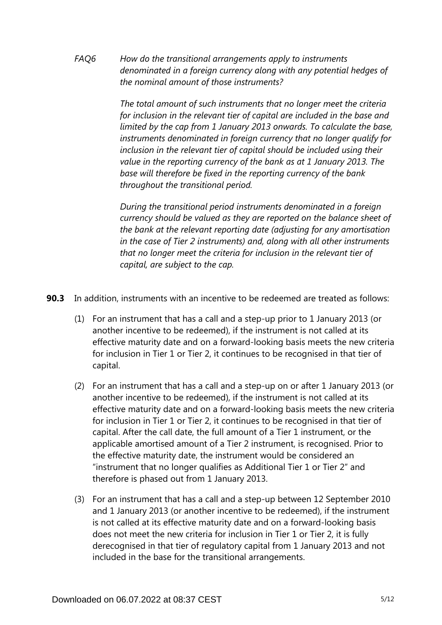*How do the transitional arrangements apply to instruments denominated in a foreign currency along with any potential hedges of the nominal amount of those instruments? FAQ6*

> *The total amount of such instruments that no longer meet the criteria for inclusion in the relevant tier of capital are included in the base and limited by the cap from 1 January 2013 onwards. To calculate the base, instruments denominated in foreign currency that no longer qualify for inclusion in the relevant tier of capital should be included using their value in the reporting currency of the bank as at 1 January 2013. The base will therefore be fixed in the reporting currency of the bank throughout the transitional period.*

> *During the transitional period instruments denominated in a foreign currency should be valued as they are reported on the balance sheet of the bank at the relevant reporting date (adjusting for any amortisation in the case of Tier 2 instruments) and, along with all other instruments that no longer meet the criteria for inclusion in the relevant tier of capital, are subject to the cap.*

- **90.3** In addition, instruments with an incentive to be redeemed are treated as follows:
	- (1) For an instrument that has a call and a step-up prior to 1 January 2013 (or another incentive to be redeemed), if the instrument is not called at its effective maturity date and on a forward-looking basis meets the new criteria for inclusion in Tier 1 or Tier 2, it continues to be recognised in that tier of capital.
	- (2) For an instrument that has a call and a step-up on or after 1 January 2013 (or another incentive to be redeemed), if the instrument is not called at its effective maturity date and on a forward-looking basis meets the new criteria for inclusion in Tier 1 or Tier 2, it continues to be recognised in that tier of capital. After the call date, the full amount of a Tier 1 instrument, or the applicable amortised amount of a Tier 2 instrument, is recognised. Prior to the effective maturity date, the instrument would be considered an "instrument that no longer qualifies as Additional Tier 1 or Tier 2" and therefore is phased out from 1 January 2013.
	- (3) For an instrument that has a call and a step-up between 12 September 2010 and 1 January 2013 (or another incentive to be redeemed), if the instrument is not called at its effective maturity date and on a forward-looking basis does not meet the new criteria for inclusion in Tier 1 or Tier 2, it is fully derecognised in that tier of regulatory capital from 1 January 2013 and not included in the base for the transitional arrangements.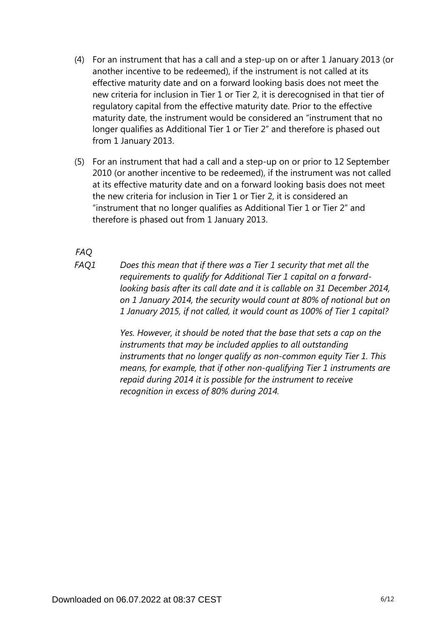- (4) For an instrument that has a call and a step-up on or after 1 January 2013 (or another incentive to be redeemed), if the instrument is not called at its effective maturity date and on a forward looking basis does not meet the new criteria for inclusion in Tier 1 or Tier 2, it is derecognised in that tier of regulatory capital from the effective maturity date. Prior to the effective maturity date, the instrument would be considered an "instrument that no longer qualifies as Additional Tier 1 or Tier 2" and therefore is phased out from 1 January 2013.
- (5) For an instrument that had a call and a step-up on or prior to 12 September 2010 (or another incentive to be redeemed), if the instrument was not called at its effective maturity date and on a forward looking basis does not meet the new criteria for inclusion in Tier 1 or Tier 2, it is considered an "instrument that no longer qualifies as Additional Tier 1 or Tier 2" and therefore is phased out from 1 January 2013.

*FAQ*

*Does this mean that if there was a Tier 1 security that met all the requirements to qualify for Additional Tier 1 capital on a forwardlooking basis after its call date and it is callable on 31 December 2014, on 1 January 2014, the security would count at 80% of notional but on 1 January 2015, if not called, it would count as 100% of Tier 1 capital? FAQ1*

> *Yes. However, it should be noted that the base that sets a cap on the instruments that may be included applies to all outstanding instruments that no longer qualify as non-common equity Tier 1. This means, for example, that if other non-qualifying Tier 1 instruments are repaid during 2014 it is possible for the instrument to receive recognition in excess of 80% during 2014.*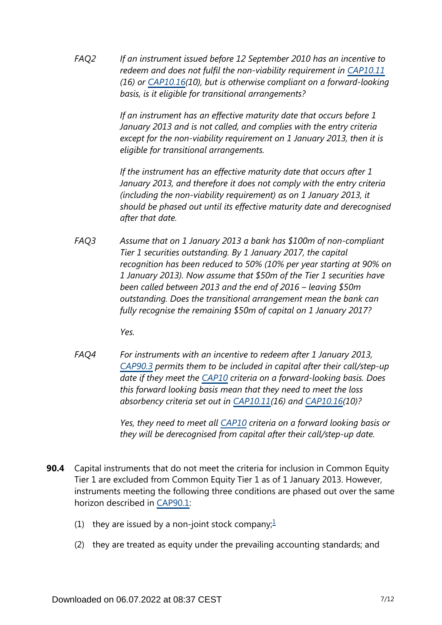*If an instrument issued before 12 September 2010 has an incentive to redeem and does not fulfil the non-viability requirement in [CAP10.11](https://www.bis.org/basel_framework/chapter/CAP/10.htm?tldate=20220101&inforce=20191215&published=20200605#paragraph_CAP_10_20191215_10_11) (16) or [CAP10.16\(](https://www.bis.org/basel_framework/chapter/CAP/10.htm?tldate=20220101&inforce=20191215&published=20200605#paragraph_CAP_10_20191215_10_16)10), but is otherwise compliant on a forward-looking basis, is it eligible for transitional arrangements? FAQ2*

> *If an instrument has an effective maturity date that occurs before 1 January 2013 and is not called, and complies with the entry criteria except for the non-viability requirement on 1 January 2013, then it is eligible for transitional arrangements.*

*If the instrument has an effective maturity date that occurs after 1 January 2013, and therefore it does not comply with the entry criteria (including the non-viability requirement) as on 1 January 2013, it should be phased out until its effective maturity date and derecognised after that date.*

*Assume that on 1 January 2013 a bank has \$100m of non-compliant Tier 1 securities outstanding. By 1 January 2017, the capital recognition has been reduced to 50% (10% per year starting at 90% on 1 January 2013). Now assume that \$50m of the Tier 1 securities have been called between 2013 and the end of 2016 – leaving \$50m outstanding. Does the transitional arrangement mean the bank can fully recognise the remaining \$50m of capital on 1 January 2017? FAQ3*

*Yes.*

*For instruments with an incentive to redeem after 1 January 2013, [CAP90.3](https://www.bis.org/basel_framework/chapter/CAP/90.htm?tldate=20220101&inforce=20200403&published=20200403#paragraph_CAP_90_20200403_90_3) permits them to be included in capital after their call/step-up date if they meet the [CAP10](https://www.bis.org/basel_framework/chapter/CAP/10.htm?tldate=20220101&inforce=20191215&published=20200605) criteria on a forward-looking basis. Does this forward looking basis mean that they need to meet the loss absorbency criteria set out in [CAP10.11\(](https://www.bis.org/basel_framework/chapter/CAP/10.htm?tldate=20220101&inforce=20191215&published=20200605#paragraph_CAP_10_20191215_10_11)16) and [CAP10.16\(](https://www.bis.org/basel_framework/chapter/CAP/10.htm?tldate=20220101&inforce=20191215&published=20200605#paragraph_CAP_10_20191215_10_16)10)? FAQ4*

> *Yes, they need to meet all [CAP10](https://www.bis.org/basel_framework/chapter/CAP/10.htm?tldate=20220101&inforce=20191215&published=20200605) criteria on a forward looking basis or they will be derecognised from capital after their call/step-up date.*

- <span id="page-6-0"></span>**90.4** Capital instruments that do not meet the criteria for inclusion in Common Equity Tier 1 are excluded from Common Equity Tier 1 as of 1 January 2013. However, instruments meeting the following three conditions are phased out over the same horizon described in [CAP90.1](https://www.bis.org/basel_framework/chapter/CAP/90.htm?tldate=20220101&inforce=20200403&published=20200403#paragraph_CAP_90_20200403_90_1):
	- ([1](#page-7-0)) they are issued by a non-joint stock company; $\frac{1}{2}$
	- (2) they are treated as equity under the prevailing accounting standards; and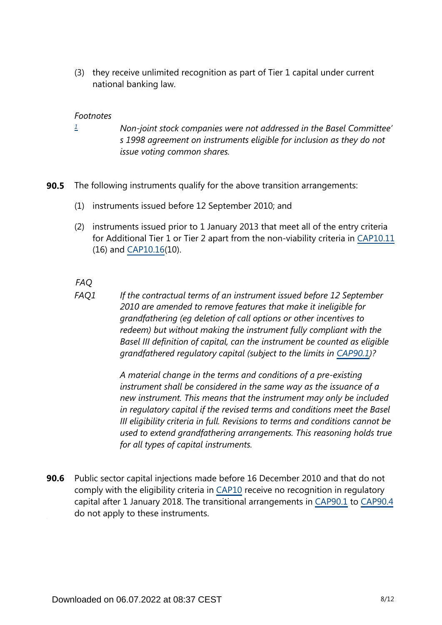(3) they receive unlimited recognition as part of Tier 1 capital under current national banking law.

### *Footnotes*

- <span id="page-7-0"></span>*Non-joint stock companies were not addressed in the Basel Committee' s 1998 agreement on instruments eligible for inclusion as they do not issue voting common shares. [1](#page-6-0)*
- **90.5** The following instruments qualify for the above transition arrangements:
	- (1) instruments issued before 12 September 2010; and
	- (2) instruments issued prior to 1 January 2013 that meet all of the entry criteria for Additional Tier 1 or Tier 2 apart from the non-viability criteria in [CAP10.11](https://www.bis.org/basel_framework/chapter/CAP/10.htm?tldate=20220101&inforce=20191215&published=20200605#paragraph_CAP_10_20191215_10_11) (16) and [CAP10.16\(](https://www.bis.org/basel_framework/chapter/CAP/10.htm?tldate=20220101&inforce=20191215&published=20200605#paragraph_CAP_10_20191215_10_16)10).

## *FAQ*

*If the contractual terms of an instrument issued before 12 September 2010 are amended to remove features that make it ineligible for grandfathering (eg deletion of call options or other incentives to redeem) but without making the instrument fully compliant with the Basel III definition of capital, can the instrument be counted as eligible grandfathered regulatory capital (subject to the limits in [CAP90.1\)](https://www.bis.org/basel_framework/chapter/CAP/90.htm?tldate=20220101&inforce=20200403&published=20200403#paragraph_CAP_90_20200403_90_1)? FAQ1*

> *A material change in the terms and conditions of a pre-existing instrument shall be considered in the same way as the issuance of a new instrument. This means that the instrument may only be included in regulatory capital if the revised terms and conditions meet the Basel III eligibility criteria in full. Revisions to terms and conditions cannot be used to extend grandfathering arrangements. This reasoning holds true for all types of capital instruments.*

Public sector capital injections made before 16 December 2010 and that do not comply with the eligibility criteria in [CAP10](https://www.bis.org/basel_framework/chapter/CAP/10.htm?tldate=20220101&inforce=20191215&published=20200605) receive no recognition in regulatory capital after 1 January 2018. The transitional arrangements in [CAP90.1](https://www.bis.org/basel_framework/chapter/CAP/90.htm?tldate=20220101&inforce=20200403&published=20200403#paragraph_CAP_90_20200403_90_1) to [CAP90.4](https://www.bis.org/basel_framework/chapter/CAP/90.htm?tldate=20220101&inforce=20200403&published=20200403#paragraph_CAP_90_20200403_90_4) do not apply to these instruments. **90.6**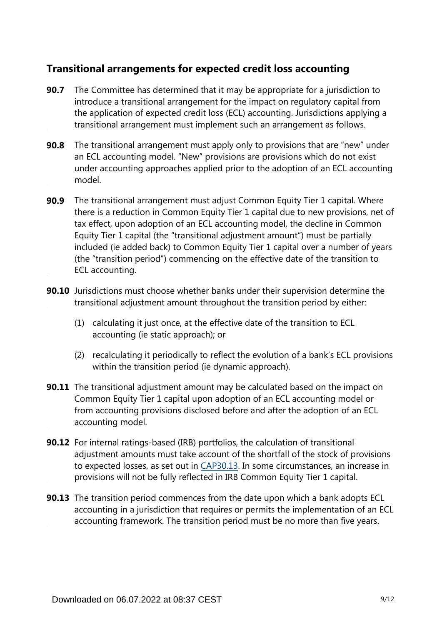## **Transitional arrangements for expected credit loss accounting**

- **90.7** The Committee has determined that it may be appropriate for a jurisdiction to introduce a transitional arrangement for the impact on regulatory capital from the application of expected credit loss (ECL) accounting. Jurisdictions applying a transitional arrangement must implement such an arrangement as follows.
- The transitional arrangement must apply only to provisions that are "new" under an ECL accounting model. "New" provisions are provisions which do not exist under accounting approaches applied prior to the adoption of an ECL accounting model. **90.8**
- The transitional arrangement must adjust Common Equity Tier 1 capital. Where there is a reduction in Common Equity Tier 1 capital due to new provisions, net of tax effect, upon adoption of an ECL accounting model, the decline in Common Equity Tier 1 capital (the "transitional adjustment amount") must be partially included (ie added back) to Common Equity Tier 1 capital over a number of years (the "transition period") commencing on the effective date of the transition to ECL accounting. **90.9**
- **90.10** Jurisdictions must choose whether banks under their supervision determine the transitional adjustment amount throughout the transition period by either:
	- (1) calculating it just once, at the effective date of the transition to ECL accounting (ie static approach); or
	- (2) recalculating it periodically to reflect the evolution of a bank's ECL provisions within the transition period (ie dynamic approach).
- **90.11** The transitional adjustment amount may be calculated based on the impact on Common Equity Tier 1 capital upon adoption of an ECL accounting model or from accounting provisions disclosed before and after the adoption of an ECL accounting model.
- **90.12** For internal ratings-based (IRB) portfolios, the calculation of transitional adjustment amounts must take account of the shortfall of the stock of provisions to expected losses, as set out in [CAP30.13.](https://www.bis.org/basel_framework/chapter/CAP/30.htm?tldate=20220101&inforce=20191215&published=20191215#paragraph_CAP_30_20191215_30_13) In some circumstances, an increase in provisions will not be fully reflected in IRB Common Equity Tier 1 capital.
- **90.13** The transition period commences from the date upon which a bank adopts ECL accounting in a jurisdiction that requires or permits the implementation of an ECL accounting framework. The transition period must be no more than five years.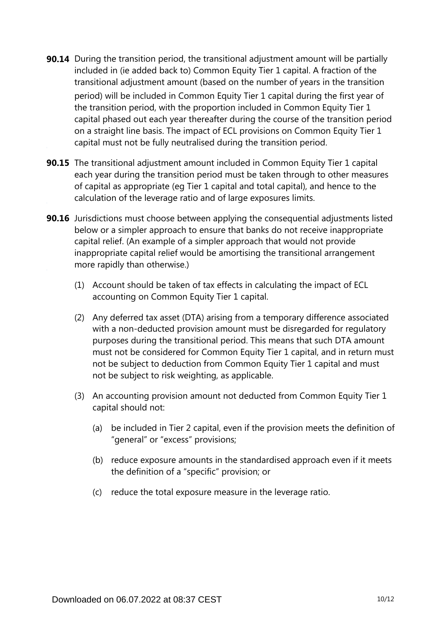- **90.14** During the transition period, the transitional adjustment amount will be partially included in (ie added back to) Common Equity Tier 1 capital. A fraction of the transitional adjustment amount (based on the number of years in the transition period) will be included in Common Equity Tier 1 capital during the first year of the transition period, with the proportion included in Common Equity Tier 1 capital phased out each year thereafter during the course of the transition period on a straight line basis. The impact of ECL provisions on Common Equity Tier 1 capital must not be fully neutralised during the transition period.
- **90.15** The transitional adjustment amount included in Common Equity Tier 1 capital each year during the transition period must be taken through to other measures of capital as appropriate (eg Tier 1 capital and total capital), and hence to the calculation of the leverage ratio and of large exposures limits.
- **90.16** Jurisdictions must choose between applying the consequential adjustments listed below or a simpler approach to ensure that banks do not receive inappropriate capital relief. (An example of a simpler approach that would not provide inappropriate capital relief would be amortising the transitional arrangement more rapidly than otherwise.)
	- (1) Account should be taken of tax effects in calculating the impact of ECL accounting on Common Equity Tier 1 capital.
	- (2) Any deferred tax asset (DTA) arising from a temporary difference associated with a non-deducted provision amount must be disregarded for regulatory purposes during the transitional period. This means that such DTA amount must not be considered for Common Equity Tier 1 capital, and in return must not be subject to deduction from Common Equity Tier 1 capital and must not be subject to risk weighting, as applicable.
	- (3) An accounting provision amount not deducted from Common Equity Tier 1 capital should not:
		- (a) be included in Tier 2 capital, even if the provision meets the definition of "general" or "excess" provisions;
		- (b) reduce exposure amounts in the standardised approach even if it meets the definition of a "specific" provision; or
		- (c) reduce the total exposure measure in the leverage ratio.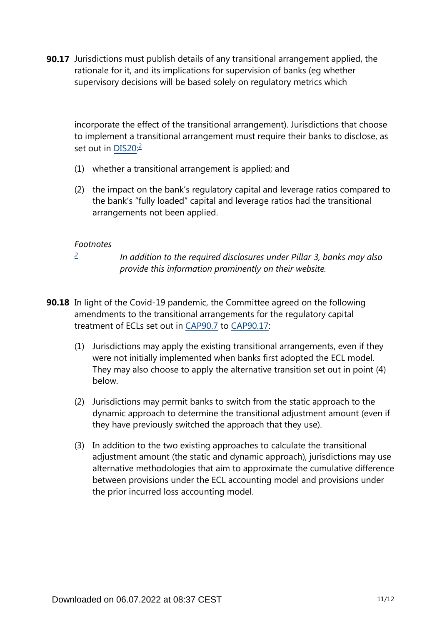**90.17** Jurisdictions must publish details of any transitional arrangement applied, the rationale for it, and its implications for supervision of banks (eg whether supervisory decisions will be based solely on regulatory metrics which

<span id="page-10-1"></span>incorporate the effect of the transitional arrangement). Jurisdictions that choose to implement a transitional arrangement must require their banks to disclose, as set out in DIS[2](#page-10-0)0.<sup>2</sup>

- (1) whether a transitional arrangement is applied; and
- (2) the impact on the bank's regulatory capital and leverage ratios compared to the bank's "fully loaded" capital and leverage ratios had the transitional arrangements not been applied.

### *Footnotes*

*[2](#page-10-1)*

*In addition to the required disclosures under Pillar 3, banks may also provide this information prominently on their website.*

- <span id="page-10-0"></span>**90.18** In light of the Covid-19 pandemic, the Committee agreed on the following amendments to the transitional arrangements for the regulatory capital treatment of ECLs set out in [CAP90.7](https://www.bis.org/basel_framework/chapter/CAP/90.htm?tldate=20220101&inforce=20200403&published=20200403#paragraph_CAP_90_20200403_90_7) to [CAP90.17:](https://www.bis.org/basel_framework/chapter/CAP/90.htm?tldate=20220101&inforce=20200403&published=20200403#paragraph_CAP_90_20200403_90_17)
	- (1) Jurisdictions may apply the existing transitional arrangements, even if they were not initially implemented when banks first adopted the ECL model. They may also choose to apply the alternative transition set out in point (4) below.
	- (2) Jurisdictions may permit banks to switch from the static approach to the dynamic approach to determine the transitional adjustment amount (even if they have previously switched the approach that they use).
	- (3) In addition to the two existing approaches to calculate the transitional adjustment amount (the static and dynamic approach), jurisdictions may use alternative methodologies that aim to approximate the cumulative difference between provisions under the ECL accounting model and provisions under the prior incurred loss accounting model.